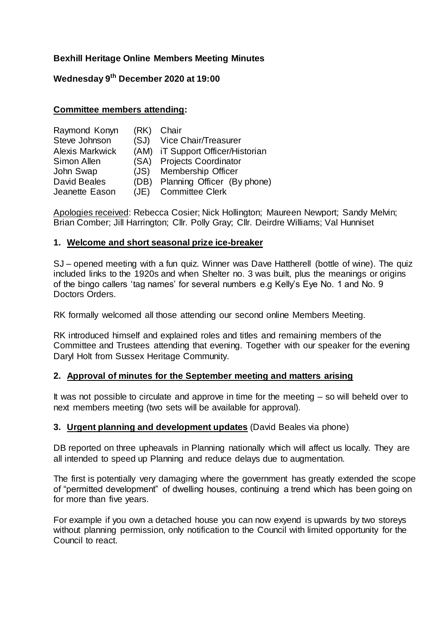# **Bexhill Heritage Online Members Meeting Minutes**

# **Wednesday 9 th December 2020 at 19:00**

#### **Committee members attending:**

| Raymond Konyn          | (RK) | Chair                             |
|------------------------|------|-----------------------------------|
| Steve Johnson          |      | (SJ) Vice Chair/Treasurer         |
| <b>Alexis Markwick</b> |      | (AM) iT Support Officer/Historian |
| Simon Allen            |      | (SA) Projects Coordinator         |
| John Swap              |      | (JS) Membership Officer           |
| David Beales           | (DB) | Planning Officer (By phone)       |
| Jeanette Eason         |      | (JE) Committee Clerk              |

Apologies received: Rebecca Cosier; Nick Hollington; Maureen Newport; Sandy Melvin; Brian Comber; Jill Harrington; Cllr. Polly Gray; Cllr. Deirdre Williams; Val Hunniset

#### **1. Welcome and short seasonal prize ice-breaker**

SJ – opened meeting with a fun quiz. Winner was Dave Hattherell (bottle of wine). The quiz included links to the 1920s and when Shelter no. 3 was built, plus the meanings or origins of the bingo callers 'tag names' for several numbers e.g Kelly's Eye No. 1 and No. 9 Doctors Orders.

RK formally welcomed all those attending our second online Members Meeting.

RK introduced himself and explained roles and titles and remaining members of the Committee and Trustees attending that evening. Together with our speaker for the evening Daryl Holt from Sussex Heritage Community.

## **2. Approval of minutes for the September meeting and matters arising**

It was not possible to circulate and approve in time for the meeting  $-$  so will beheld over to next members meeting (two sets will be available for approval).

#### **3. Urgent planning and development updates** (David Beales via phone)

DB reported on three upheavals in Planning nationally which will affect us locally. They are all intended to speed up Planning and reduce delays due to augmentation.

The first is potentially very damaging where the government has greatly extended the scope of "permitted development" of dwelling houses, continuing a trend which has been going on for more than five years.

For example if you own a detached house you can now exyend is upwards by two storeys without planning permission, only notification to the Council with limited opportunity for the Council to react.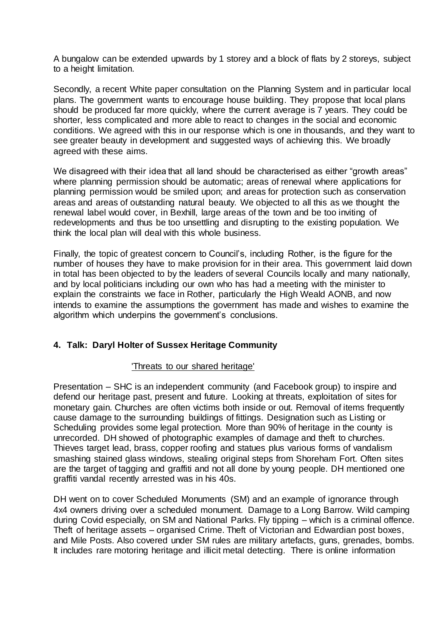A bungalow can be extended upwards by 1 storey and a block of flats by 2 storeys, subject to a height limitation.

Secondly, a recent White paper consultation on the Planning System and in particular local plans. The government wants to encourage house building. They propose that local plans should be produced far more quickly, where the current average is 7 years. They could be shorter, less complicated and more able to react to changes in the social and economic conditions. We agreed with this in our response which is one in thousands, and they want to see greater beauty in development and suggested ways of achieving this. We broadly agreed with these aims.

We disagreed with their idea that all land should be characterised as either "growth areas" where planning permission should be automatic; areas of renewal where applications for planning permission would be smiled upon; and areas for protection such as conservation areas and areas of outstanding natural beauty. We objected to all this as we thought the renewal label would cover, in Bexhill, large areas of the town and be too inviting of redevelopments and thus be too unsettling and disrupting to the existing population. We think the local plan will deal with this whole business.

Finally, the topic of greatest concern to Council's, including Rother, is the figure for the number of houses they have to make provision for in their area. This government laid down in total has been objected to by the leaders of several Councils locally and many nationally, and by local politicians including our own who has had a meeting with the minister to explain the constraints we face in Rother, particularly the High Weald AONB, and now intends to examine the assumptions the government has made and wishes to examine the algorithm which underpins the government's conclusions.

## **4. Talk: Daryl Holter of Sussex Heritage Community**

## 'Threats to our shared heritage'

Presentation – SHC is an independent community (and Facebook group) to inspire and defend our heritage past, present and future. Looking at threats, exploitation of sites for monetary gain. Churches are often victims both inside or out. Removal of items frequently cause damage to the surrounding buildings of fittings. Designation such as Listing or Scheduling provides some legal protection. More than 90% of heritage in the county is unrecorded. DH showed of photographic examples of damage and theft to churches. Thieves target lead, brass, copper roofing and statues plus various forms of vandalism smashing stained glass windows, stealing original steps from Shoreham Fort. Often sites are the target of tagging and graffiti and not all done by young people. DH mentioned one graffiti vandal recently arrested was in his 40s.

DH went on to cover Scheduled Monuments (SM) and an example of ignorance through 4x4 owners driving over a scheduled monument. Damage to a Long Barrow. Wild camping during Covid especially, on SM and National Parks. Fly tipping – which is a criminal offence. Theft of heritage assets – organised Crime. Theft of Victorian and Edwardian post boxes, and Mile Posts. Also covered under SM rules are military artefacts, guns, grenades, bombs. It includes rare motoring heritage and illicit metal detecting. There is online information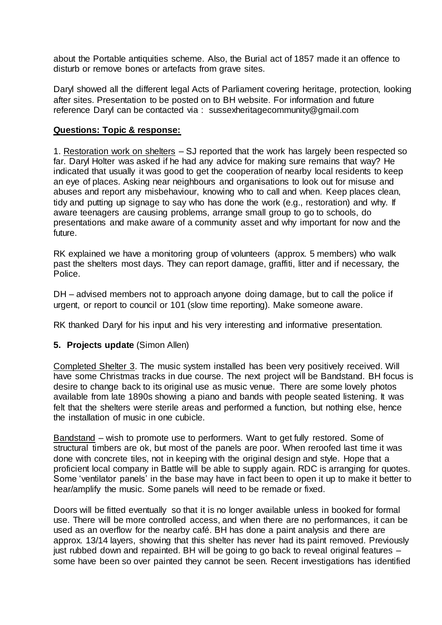about the Portable antiquities scheme. Also, the Burial act of 1857 made it an offence to disturb or remove bones or artefacts from grave sites.

Daryl showed all the different legal Acts of Parliament covering heritage, protection, looking after sites. Presentation to be posted on to BH website. For information and future reference Daryl can be contacted via : sussexheritagecommunity@gmail.com

## **Questions: Topic & response:**

1. Restoration work on shelters – SJ reported that the work has largely been respected so far. Daryl Holter was asked if he had any advice for making sure remains that way? He indicated that usually it was good to get the cooperation of nearby local residents to keep an eye of places. Asking near neighbours and organisations to look out for misuse and abuses and report any misbehaviour, knowing who to call and when. Keep places clean, tidy and putting up signage to say who has done the work (e.g., restoration) and why. If aware teenagers are causing problems, arrange small group to go to schools, do presentations and make aware of a community asset and why important for now and the future.

RK explained we have a monitoring group of volunteers (approx. 5 members) who walk past the shelters most days. They can report damage, graffiti, litter and if necessary, the Police.

DH – advised members not to approach anyone doing damage, but to call the police if urgent, or report to council or 101 (slow time reporting). Make someone aware.

RK thanked Daryl for his input and his very interesting and informative presentation.

## **5. Projects update** (Simon Allen)

Completed Shelter 3. The music system installed has been very positively received. Will have some Christmas tracks in due course. The next project will be Bandstand. BH focus is desire to change back to its original use as music venue. There are some lovely photos available from late 1890s showing a piano and bands with people seated listening. It was felt that the shelters were sterile areas and performed a function, but nothing else, hence the installation of music in one cubicle.

Bandstand – wish to promote use to performers. Want to get fully restored. Some of structural timbers are ok, but most of the panels are poor. When reroofed last time it was done with concrete tiles, not in keeping with the original design and style. Hope that a proficient local company in Battle will be able to supply again. RDC is arranging for quotes. Some 'ventilator panels' in the base may have in fact been to open it up to make it better to hear/amplify the music. Some panels will need to be remade or fixed.

Doors will be fitted eventually so that it is no longer available unless in booked for formal use. There will be more controlled access, and when there are no performances, it can be used as an overflow for the nearby café. BH has done a paint analysis and there are approx. 13/14 layers, showing that this shelter has never had its paint removed. Previously just rubbed down and repainted. BH will be going to go back to reveal original features – some have been so over painted they cannot be seen. Recent investigations has identified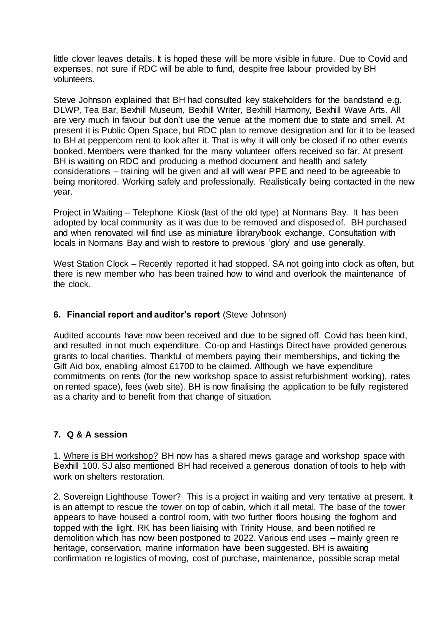little clover leaves details. It is hoped these will be more visible in future. Due to Covid and expenses, not sure if RDC will be able to fund, despite free labour provided by BH volunteers.

Steve Johnson explained that BH had consulted key stakeholders for the bandstand e.g. DLWP, Tea Bar, Bexhill Museum, Bexhill Writer, Bexhill Harmony, Bexhill Wave Arts. All are very much in favour but don't use the venue at the moment due to state and smell. At present it is Public Open Space, but RDC plan to remove designation and for it to be leased to BH at peppercorn rent to look after it. That is why it will only be closed if no other events booked. Members were thanked for the many volunteer offers received so far. At present BH is waiting on RDC and producing a method document and health and safety considerations – training will be given and all will wear PPE and need to be agreeable to being monitored. Working safely and professionally. Realistically being contacted in the new year.

Project in Waiting – Telephone Kiosk (last of the old type) at Normans Bay. It has been adopted by local community as it was due to be removed and disposed of. BH purchased and when renovated will find use as miniature library/book exchange. Consultation with locals in Normans Bay and wish to restore to previous 'glory' and use generally.

West Station Clock – Recently reported it had stopped. SA not going into clock as often, but there is new member who has been trained how to wind and overlook the maintenance of the clock.

## **6. Financial report and auditor's report** (Steve Johnson)

Audited accounts have now been received and due to be signed off. Covid has been kind, and resulted in not much expenditure. Co-op and Hastings Direct have provided generous grants to local charities. Thankful of members paying their memberships, and ticking the Gift Aid box, enabling almost £1700 to be claimed. Although we have expenditure commitments on rents (for the new workshop space to assist refurbishment working), rates on rented space), fees (web site). BH is now finalising the application to be fully registered as a charity and to benefit from that change of situation.

## **7. Q & A session**

1. Where is BH workshop? BH now has a shared mews garage and workshop space with Bexhill 100. SJ also mentioned BH had received a generous donation of tools to help with work on shelters restoration.

2. Sovereign Lighthouse Tower? This is a project in waiting and very tentative at present. It is an attempt to rescue the tower on top of cabin, which it all metal. The base of the tower appears to have housed a control room, with two further floors housing the foghorn and topped with the light. RK has been liaising with Trinity House, and been notified re demolition which has now been postponed to 2022. Various end uses – mainly green re heritage, conservation, marine information have been suggested. BH is awaiting confirmation re logistics of moving, cost of purchase, maintenance, possible scrap metal